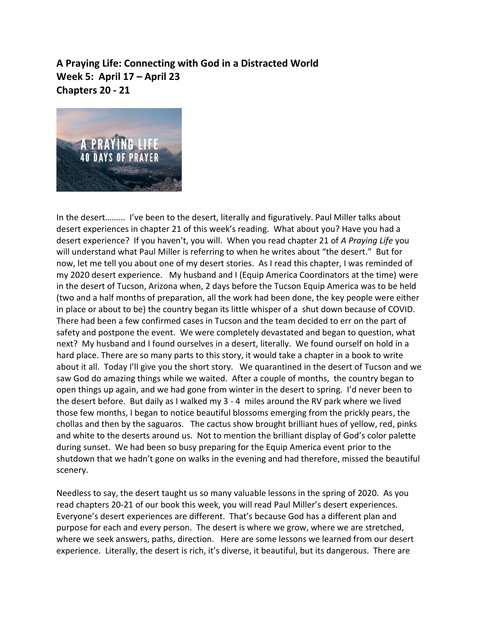**A Praying Life: Connecting with God in a Distracted World Week 5: April 17 – April 23 Chapters 20 - 21**



In the desert……... I've been to the desert, literally and figuratively. Paul Miller talks about desert experiences in chapter 21 of this week's reading. What about you? Have you had a desert experience? If you haven't, you will. When you read chapter 21 of *A Praying Life* you will understand what Paul Miller is referring to when he writes about "the desert." But for now, let me tell you about one of my desert stories. As I read this chapter, I was reminded of my 2020 desert experience. My husband and I (Equip America Coordinators at the time) were in the desert of Tucson, Arizona when, 2 days before the Tucson Equip America was to be held (two and a half months of preparation, all the work had been done, the key people were either in place or about to be) the country began its little whisper of a shut down because of COVID. There had been a few confirmed cases in Tucson and the team decided to err on the part of safety and postpone the event. We were completely devastated and began to question, what next? My husband and I found ourselves in a desert, literally. We found ourself on hold in a hard place. There are so many parts to this story, it would take a chapter in a book to write about it all. Today I'll give you the short story. We quarantined in the desert of Tucson and we saw God do amazing things while we waited. After a couple of months, the country began to open things up again, and we had gone from winter in the desert to spring. I'd never been to the desert before. But daily as I walked my 3 - 4 miles around the RV park where we lived those few months, I began to notice beautiful blossoms emerging from the prickly pears, the chollas and then by the saguaros. The cactus show brought brilliant hues of yellow, red, pinks and white to the deserts around us. Not to mention the brilliant display of God's color palette during sunset. We had been so busy preparing for the Equip America event prior to the shutdown that we hadn't gone on walks in the evening and had therefore, missed the beautiful scenery.

Needless to say, the desert taught us so many valuable lessons in the spring of 2020. As you read chapters 20-21 of our book this week, you will read Paul Miller's desert experiences. Everyone's desert experiences are different. That's because God has a different plan and purpose for each and every person. The desert is where we grow, where we are stretched, where we seek answers, paths, direction. Here are some lessons we learned from our desert experience. Literally, the desert is rich, it's diverse, it beautiful, but its dangerous. There are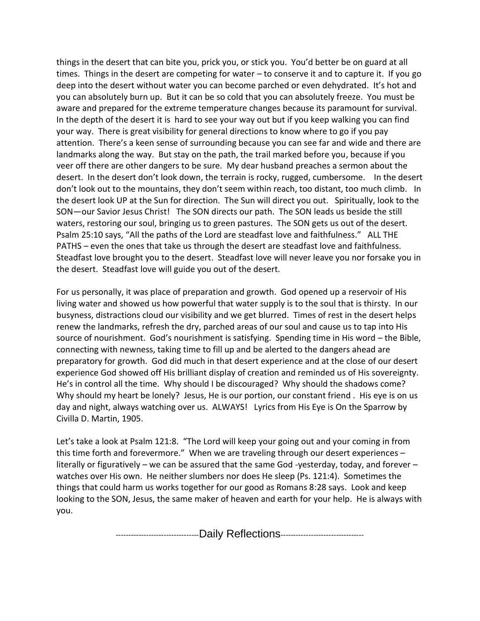things in the desert that can bite you, prick you, or stick you. You'd better be on guard at all times. Things in the desert are competing for water – to conserve it and to capture it. If you go deep into the desert without water you can become parched or even dehydrated. It's hot and you can absolutely burn up. But it can be so cold that you can absolutely freeze. You must be aware and prepared for the extreme temperature changes because its paramount for survival. In the depth of the desert it is hard to see your way out but if you keep walking you can find your way. There is great visibility for general directions to know where to go if you pay attention. There's a keen sense of surrounding because you can see far and wide and there are landmarks along the way. But stay on the path, the trail marked before you, because if you veer off there are other dangers to be sure. My dear husband preaches a sermon about the desert. In the desert don't look down, the terrain is rocky, rugged, cumbersome. In the desert don't look out to the mountains, they don't seem within reach, too distant, too much climb. In the desert look UP at the Sun for direction. The Sun will direct you out. Spiritually, look to the SON—our Savior Jesus Christ! The SON directs our path. The SON leads us beside the still waters, restoring our soul, bringing us to green pastures. The SON gets us out of the desert. Psalm 25:10 says, "All the paths of the Lord are steadfast love and faithfulness." ALL THE PATHS – even the ones that take us through the desert are steadfast love and faithfulness. Steadfast love brought you to the desert. Steadfast love will never leave you nor forsake you in the desert. Steadfast love will guide you out of the desert.

For us personally, it was place of preparation and growth. God opened up a reservoir of His living water and showed us how powerful that water supply is to the soul that is thirsty. In our busyness, distractions cloud our visibility and we get blurred. Times of rest in the desert helps renew the landmarks, refresh the dry, parched areas of our soul and cause us to tap into His source of nourishment. God's nourishment is satisfying. Spending time in His word – the Bible, connecting with newness, taking time to fill up and be alerted to the dangers ahead are preparatory for growth. God did much in that desert experience and at the close of our desert experience God showed off His brilliant display of creation and reminded us of His sovereignty. He's in control all the time. Why should I be discouraged? Why should the shadows come? Why should my heart be lonely? Jesus, He is our portion, our constant friend . His eye is on us day and night, always watching over us. ALWAYS! Lyrics from His Eye is On the Sparrow by Civilla D. Martin, 1905.

Let's take a look at Psalm 121:8. "The Lord will keep your going out and your coming in from this time forth and forevermore." When we are traveling through our desert experiences – literally or figuratively – we can be assured that the same God -yesterday, today, and forever – watches over His own. He neither slumbers nor does He sleep (Ps. 121:4). Sometimes the things that could harm us works together for our good as Romans 8:28 says. Look and keep looking to the SON, Jesus, the same maker of heaven and earth for your help. He is always with you.

-Daily Reflections----------------------------------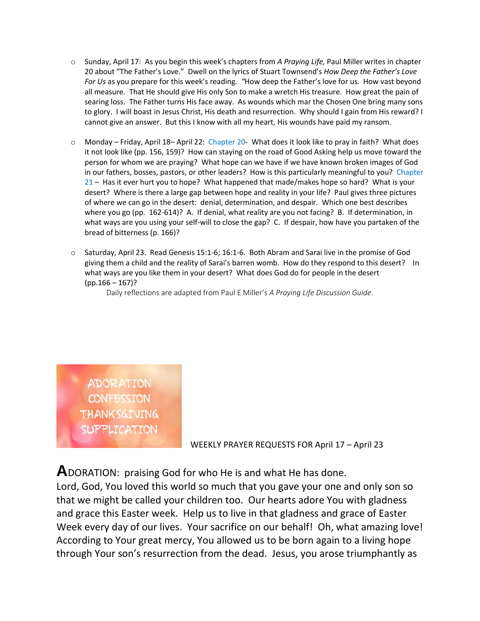- o Sunday, April 17: As you begin this week's chapters from *A Praying Life,* Paul Miller writes in chapter 20 about "The Father's Love." Dwell on the lyrics of Stuart Townsend's *How Deep the Father's Love For Us* as you prepare for this week's reading*. "*How deep the Father's love for us. How vast beyond all measure. That He should give His only Son to make a wretch His treasure. How great the pain of searing loss. The Father turns His face away. As wounds which mar the Chosen One bring many sons to glory. I will boast in Jesus Christ, His death and resurrection. Why should I gain from His reward? I cannot give an answer. But this I know with all my heart, His wounds have paid my ransom.
- o Monday Friday, April 18– April 22: Chapter 20- What does it look like to pray in faith? What does it not look like (pp. 156, 159)? How can staying on the road of Good Asking help us move toward the person for whom we are praying? What hope can we have if we have known broken images of God in our fathers, bosses, pastors, or other leaders? How is this particularly meaningful to you? Chapter 21 – Has it ever hurt you to hope? What happened that made/makes hope so hard? What is your desert? Where is there a large gap between hope and reality in your life? Paul gives three pictures of where we can go in the desert: denial, determination, and despair. Which one best describes where you go (pp. 162-614)? A. If denial, what reality are you not facing? B. If determination, in what ways are you using your self-will to close the gap? C. If despair, how have you partaken of the bread of bitterness (p. 166)?
- o Saturday, April 23. Read Genesis 15:1-6; 16:1-6. Both Abram and Sarai live in the promise of God giving them a child and the reality of Sarai's barren womb. How do they respond to this desert? In what ways are you like them in your desert? What does God do for people in the desert  $(pp.166 - 167)?$

Daily reflections are adapted from Paul E Miller's *A Praying Life Discussion Guide*.

ADORATION **CONFESSION THANKSGIVING SUPPLICATION** 

WEEKLY PRAYER REQUESTS FOR April 17 – April 23

**A**DORATION: praising God for who He is and what He has done. Lord, God, You loved this world so much that you gave your one and only son so that we might be called your children too. Our hearts adore You with gladness and grace this Easter week. Help us to live in that gladness and grace of Easter Week every day of our lives. Your sacrifice on our behalf! Oh, what amazing love! According to Your great mercy, You allowed us to be born again to a living hope through Your son's resurrection from the dead. Jesus, you arose triumphantly as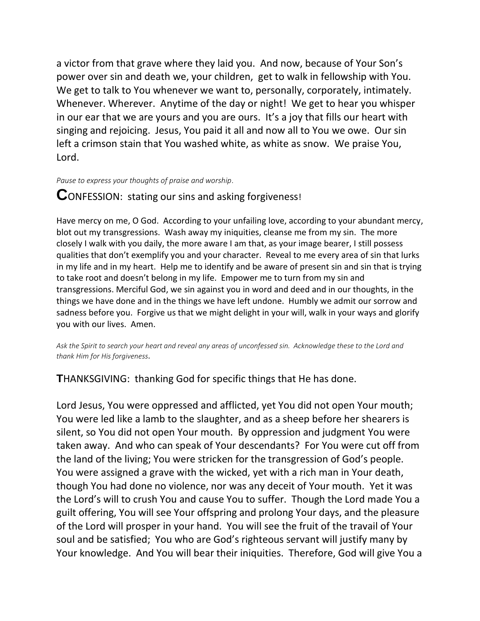a victor from that grave where they laid you. And now, because of Your Son's power over sin and death we, your children, get to walk in fellowship with You. We get to talk to You whenever we want to, personally, corporately, intimately. Whenever. Wherever. Anytime of the day or night! We get to hear you whisper in our ear that we are yours and you are ours. It's a joy that fills our heart with singing and rejoicing. Jesus, You paid it all and now all to You we owe. Our sin left a crimson stain that You washed white, as white as snow. We praise You, Lord.

## *Pause to express your thoughts of praise and worship*.

## **C**ONFESSION: stating our sins and asking forgiveness!

Have mercy on me, O God. According to your unfailing love, according to your abundant mercy, blot out my transgressions. Wash away my iniquities, cleanse me from my sin. The more closely I walk with you daily, the more aware I am that, as your image bearer, I still possess qualities that don't exemplify you and your character. Reveal to me every area of sin that lurks in my life and in my heart. Help me to identify and be aware of present sin and sin that is trying to take root and doesn't belong in my life. Empower me to turn from my sin and transgressions. Merciful God, we sin against you in word and deed and in our thoughts, in the things we have done and in the things we have left undone. Humbly we admit our sorrow and sadness before you. Forgive us that we might delight in your will, walk in your ways and glorify you with our lives. Amen.

*Ask the Spirit to search your heart and reveal any areas of unconfessed sin. Acknowledge these to the Lord and thank Him for His forgiveness*.

**T**HANKSGIVING: thanking God for specific things that He has done.

Lord Jesus, You were oppressed and afflicted, yet You did not open Your mouth; You were led like a lamb to the slaughter, and as a sheep before her shearers is silent, so You did not open Your mouth. By oppression and judgment You were taken away. And who can speak of Your descendants? For You were cut off from the land of the living; You were stricken for the transgression of God's people. You were assigned a grave with the wicked, yet with a rich man in Your death, though You had done no violence, nor was any deceit of Your mouth. Yet it was the Lord's will to crush You and cause You to suffer. Though the Lord made You a guilt offering, You will see Your offspring and prolong Your days, and the pleasure of the Lord will prosper in your hand. You will see the fruit of the travail of Your soul and be satisfied; You who are God's righteous servant will justify many by Your knowledge. And You will bear their iniquities. Therefore, God will give You a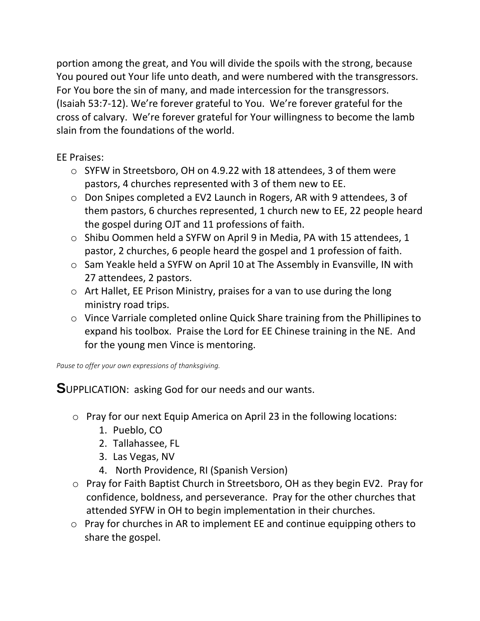portion among the great, and You will divide the spoils with the strong, because You poured out Your life unto death, and were numbered with the transgressors. For You bore the sin of many, and made intercession for the transgressors. (Isaiah 53:7-12). We're forever grateful to You. We're forever grateful for the cross of calvary. We're forever grateful for Your willingness to become the lamb slain from the foundations of the world.

EE Praises:

- o SYFW in Streetsboro, OH on 4.9.22 with 18 attendees, 3 of them were pastors, 4 churches represented with 3 of them new to EE.
- o Don Snipes completed a EV2 Launch in Rogers, AR with 9 attendees, 3 of them pastors, 6 churches represented, 1 church new to EE, 22 people heard the gospel during OJT and 11 professions of faith.
- o Shibu Oommen held a SYFW on April 9 in Media, PA with 15 attendees, 1 pastor, 2 churches, 6 people heard the gospel and 1 profession of faith.
- o Sam Yeakle held a SYFW on April 10 at The Assembly in Evansville, IN with 27 attendees, 2 pastors.
- o Art Hallet, EE Prison Ministry, praises for a van to use during the long ministry road trips.
- o Vince Varriale completed online Quick Share training from the Phillipines to expand his toolbox. Praise the Lord for EE Chinese training in the NE. And for the young men Vince is mentoring.

*Pause to offer your own expressions of thanksgiving.*

**S**UPPLICATION: asking God for our needs and our wants.

- o Pray for our next Equip America on April 23 in the following locations:
	- 1. Pueblo, CO
	- 2. Tallahassee, FL
	- 3. Las Vegas, NV
	- 4. North Providence, RI (Spanish Version)
- o Pray for Faith Baptist Church in Streetsboro, OH as they begin EV2. Pray for confidence, boldness, and perseverance. Pray for the other churches that attended SYFW in OH to begin implementation in their churches.
- o Pray for churches in AR to implement EE and continue equipping others to share the gospel.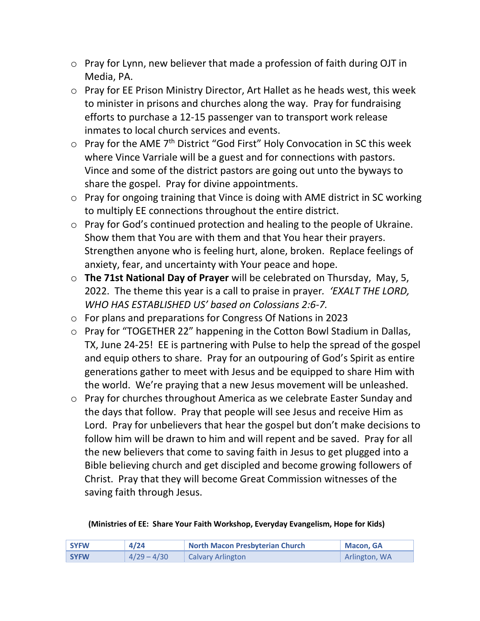- o Pray for Lynn, new believer that made a profession of faith during OJT in Media, PA.
- o Pray for EE Prison Ministry Director, Art Hallet as he heads west, this week to minister in prisons and churches along the way. Pray for fundraising efforts to purchase a 12-15 passenger van to transport work release inmates to local church services and events.
- $\circ$  Pray for the AME 7<sup>th</sup> District "God First" Holy Convocation in SC this week where Vince Varriale will be a guest and for connections with pastors. Vince and some of the district pastors are going out unto the byways to share the gospel. Pray for divine appointments.
- o Pray for ongoing training that Vince is doing with AME district in SC working to multiply EE connections throughout the entire district.
- o Pray for God's continued protection and healing to the people of Ukraine. Show them that You are with them and that You hear their prayers. Strengthen anyone who is feeling hurt, alone, broken. Replace feelings of anxiety, fear, and uncertainty with Your peace and hope.
- o **The 71st National Day of Prayer** will be celebrated on Thursday, May, 5, 2022. The theme this year is a call to praise in prayer*. 'EXALT THE LORD, WHO HAS ESTABLISHED US' based on Colossians 2:6-7.*
- o For plans and preparations for Congress Of Nations in 2023
- o Pray for "TOGETHER 22" happening in the Cotton Bowl Stadium in Dallas, TX, June 24-25! EE is partnering with Pulse to help the spread of the gospel and equip others to share. Pray for an outpouring of God's Spirit as entire generations gather to meet with Jesus and be equipped to share Him with the world. We're praying that a new Jesus movement will be unleashed.
- o Pray for churches throughout America as we celebrate Easter Sunday and the days that follow. Pray that people will see Jesus and receive Him as Lord. Pray for unbelievers that hear the gospel but don't make decisions to follow him will be drawn to him and will repent and be saved. Pray for all the new believers that come to saving faith in Jesus to get plugged into a Bible believing church and get discipled and become growing followers of Christ. Pray that they will become Great Commission witnesses of the saving faith through Jesus.

## **(Ministries of EE: Share Your Faith Workshop, Everyday Evangelism, Hope for Kids)**

| <b>SYFW</b> | 4/24          | North Macon Presbyterian Church | Macon, GA     |
|-------------|---------------|---------------------------------|---------------|
| <b>SYFW</b> | $4/29 - 4/30$ | <b>Calvary Arlington</b>        | Arlington, WA |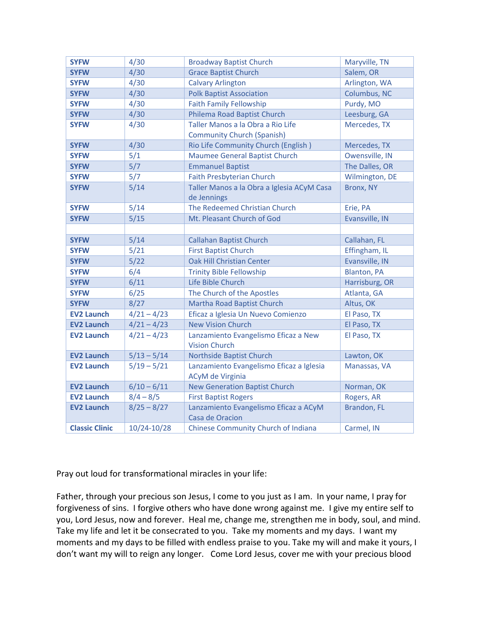| <b>SYFW</b>           | 4/30          | <b>Broadway Baptist Church</b>             | Maryville, TN      |
|-----------------------|---------------|--------------------------------------------|--------------------|
| <b>SYFW</b>           | 4/30          | <b>Grace Baptist Church</b>                | Salem, OR          |
| <b>SYFW</b>           | 4/30          | <b>Calvary Arlington</b>                   | Arlington, WA      |
| <b>SYFW</b>           | 4/30          | <b>Polk Baptist Association</b>            | Columbus, NC       |
| <b>SYFW</b>           | 4/30          | <b>Faith Family Fellowship</b>             | Purdy, MO          |
| <b>SYFW</b>           | 4/30          | Philema Road Baptist Church                | Leesburg, GA       |
| <b>SYFW</b>           | 4/30          | Taller Manos a la Obra a Rio Life          | Mercedes, TX       |
|                       |               | <b>Community Church (Spanish)</b>          |                    |
| <b>SYFW</b>           | 4/30          | Rio Life Community Church (English)        | Mercedes, TX       |
| <b>SYFW</b>           | 5/1           | <b>Maumee General Baptist Church</b>       | Owensville, IN     |
| <b>SYFW</b>           | 5/7           | <b>Emmanuel Baptist</b>                    | The Dalles, OR     |
| <b>SYFW</b>           | 5/7           | <b>Faith Presbyterian Church</b>           | Wilmington, DE     |
| <b>SYFW</b>           | 5/14          | Taller Manos a la Obra a Iglesia ACyM Casa | <b>Bronx, NY</b>   |
|                       |               | de Jennings                                |                    |
| <b>SYFW</b>           | 5/14          | The Redeemed Christian Church              | Erie, PA           |
| <b>SYFW</b>           | 5/15          | Mt. Pleasant Church of God                 | Evansville, IN     |
|                       |               |                                            |                    |
| <b>SYFW</b>           | 5/14          | <b>Callahan Baptist Church</b>             | Callahan, FL       |
| <b>SYFW</b>           | 5/21          | <b>First Baptist Church</b>                | Effingham, IL      |
| <b>SYFW</b>           | $5/22$        | Oak Hill Christian Center                  | Evansville, IN     |
| <b>SYFW</b>           | 6/4           | <b>Trinity Bible Fellowship</b>            | <b>Blanton, PA</b> |
| <b>SYFW</b>           | 6/11          | Life Bible Church                          | Harrisburg, OR     |
| <b>SYFW</b>           | 6/25          | The Church of the Apostles                 | Atlanta, GA        |
| <b>SYFW</b>           | 8/27          | Martha Road Baptist Church                 | Altus, OK          |
| <b>EV2 Launch</b>     | $4/21 - 4/23$ | Eficaz a Iglesia Un Nuevo Comienzo         | El Paso, TX        |
| <b>EV2 Launch</b>     | $4/21 - 4/23$ | <b>New Vision Church</b>                   | El Paso, TX        |
| <b>EV2 Launch</b>     | $4/21 - 4/23$ | Lanzamiento Evangelismo Eficaz a New       | El Paso, TX        |
|                       |               | <b>Vision Church</b>                       |                    |
| <b>EV2 Launch</b>     | $5/13 - 5/14$ | Northside Baptist Church                   | Lawton, OK         |
| <b>EV2 Launch</b>     | $5/19 - 5/21$ | Lanzamiento Evangelismo Eficaz a Iglesia   | Manassas, VA       |
|                       |               | ACyM de Virginia                           |                    |
| <b>EV2 Launch</b>     | $6/10 - 6/11$ | <b>New Generation Baptist Church</b>       | Norman, OK         |
| <b>EV2 Launch</b>     | $8/4 - 8/5$   | <b>First Baptist Rogers</b>                | Rogers, AR         |
| <b>EV2 Launch</b>     | $8/25 - 8/27$ | Lanzamiento Evangelismo Eficaz a ACyM      | Brandon, FL        |
|                       |               | Casa de Oracion                            |                    |
| <b>Classic Clinic</b> | 10/24-10/28   | Chinese Community Church of Indiana        | Carmel, IN         |

Pray out loud for transformational miracles in your life:

Father, through your precious son Jesus, I come to you just as I am. In your name, I pray for forgiveness of sins. I forgive others who have done wrong against me. I give my entire self to you, Lord Jesus, now and forever. Heal me, change me, strengthen me in body, soul, and mind. Take my life and let it be consecrated to you. Take my moments and my days. I want my moments and my days to be filled with endless praise to you. Take my will and make it yours, I don't want my will to reign any longer. Come Lord Jesus, cover me with your precious blood